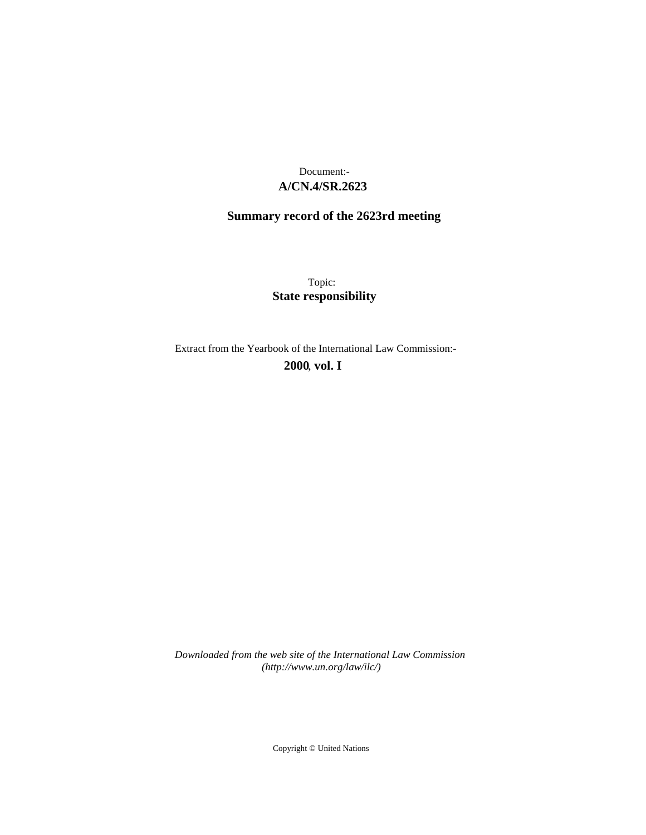## **A/CN.4/SR.2623** Document:-

# **Summary record of the 2623rd meeting**

Topic: **State responsibility**

Extract from the Yearbook of the International Law Commission:-

**2000** , **vol. I**

*Downloaded from the web site of the International Law Commission (http://www.un.org/law/ilc/)*

Copyright © United Nations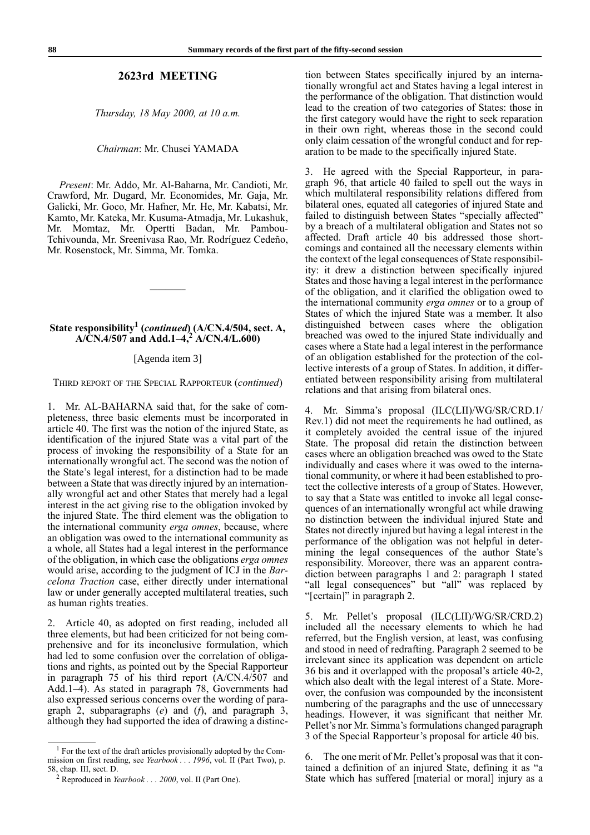#### **2623rd MEETING**

*Thursday, 18 May 2000, at 10 a.m.*

*Chairman*: Mr. Chusei YAMADA

*Present*: Mr. Addo, Mr. Al-Baharna, Mr. Candioti, Mr. Crawford, Mr. Dugard, Mr. Economides, Mr. Gaja, Mr. Galicki, Mr. Goco, Mr. Hafner, Mr. He, Mr. Kabatsi, Mr. Kamto, Mr. Kateka, Mr. Kusuma-Atmadja, Mr. Lukashuk, Mr. Momtaz, Mr. Opertti Badan, Mr. Pambou-Tchivounda, Mr. Sreenivasa Rao, Mr. Rodríguez Cedeño, Mr. Rosenstock, Mr. Simma, Mr. Tomka.

### **State responsibility1 (***continued***) (A/CN.4/504, sect. A, A/CN.4/507 and Add.1–4,<sup>2</sup> A/CN.4/L.600)**

————–

#### [Agenda item 3]

THIRD REPORT OF THE SPECIAL RAPPORTEUR (*continued*)

1. Mr. AL-BAHARNA said that, for the sake of completeness, three basic elements must be incorporated in article 40. The first was the notion of the injured State, as identification of the injured State was a vital part of the process of invoking the responsibility of a State for an internationally wrongful act. The second was the notion of the State's legal interest, for a distinction had to be made between a State that was directly injured by an internationally wrongful act and other States that merely had a legal interest in the act giving rise to the obligation invoked by the injured State. The third element was the obligation to the international community *erga omnes*, because, where an obligation was owed to the international community as a whole, all States had a legal interest in the performance of the obligation, in which case the obligations *erga omnes* would arise, according to the judgment of ICJ in the *Barcelona Traction* case, either directly under international law or under generally accepted multilateral treaties, such as human rights treaties.

2. Article 40, as adopted on first reading, included all three elements, but had been criticized for not being comprehensive and for its inconclusive formulation, which had led to some confusion over the correlation of obligations and rights, as pointed out by the Special Rapporteur in paragraph 75 of his third report (A/CN.4/507 and Add.1–4). As stated in paragraph 78, Governments had also expressed serious concerns over the wording of paragraph 2, subparagraphs (*e*) and (*f*), and paragraph 3, although they had supported the idea of drawing a distinc-

<sup>1</sup> For the text of the draft articles provisionally adopted by the Commission on first reading, see *Yearbook . . . 1996*, vol. II (Part Two), p. 58, chap. III, sect. D.

tion between States specifically injured by an internationally wrongful act and States having a legal interest in the performance of the obligation. That distinction would lead to the creation of two categories of States: those in the first category would have the right to seek reparation in their own right, whereas those in the second could only claim cessation of the wrongful conduct and for reparation to be made to the specifically injured State.

3. He agreed with the Special Rapporteur, in paragraph 96, that article 40 failed to spell out the ways in which multilateral responsibility relations differed from bilateral ones, equated all categories of injured State and failed to distinguish between States "specially affected" by a breach of a multilateral obligation and States not so affected. Draft article 40 bis addressed those shortcomings and contained all the necessary elements within the context of the legal consequences of State responsibility: it drew a distinction between specifically injured States and those having a legal interest in the performance of the obligation, and it clarified the obligation owed to the international community *erga omnes* or to a group of States of which the injured State was a member. It also distinguished between cases where the obligation breached was owed to the injured State individually and cases where a State had a legal interest in the performance of an obligation established for the protection of the collective interests of a group of States. In addition, it differentiated between responsibility arising from multilateral relations and that arising from bilateral ones.

Mr. Simma's proposal (ILC(LII)/WG/SR/CRD.1/ Rev.1) did not meet the requirements he had outlined, as it completely avoided the central issue of the injured State. The proposal did retain the distinction between cases where an obligation breached was owed to the State individually and cases where it was owed to the international community, or where it had been established to protect the collective interests of a group of States. However, to say that a State was entitled to invoke all legal consequences of an internationally wrongful act while drawing no distinction between the individual injured State and States not directly injured but having a legal interest in the performance of the obligation was not helpful in determining the legal consequences of the author State's responsibility. Moreover, there was an apparent contradiction between paragraphs 1 and 2: paragraph 1 stated "all legal consequences" but "all" was replaced by "[certain]" in paragraph 2.

Mr. Pellet's proposal (ILC(LII)/WG/SR/CRD.2) included all the necessary elements to which he had referred, but the English version, at least, was confusing and stood in need of redrafting. Paragraph 2 seemed to be irrelevant since its application was dependent on article 36 bis and it overlapped with the proposal's article 40-2, which also dealt with the legal interest of a State. Moreover, the confusion was compounded by the inconsistent numbering of the paragraphs and the use of unnecessary headings. However, it was significant that neither Mr. Pellet's nor Mr. Simma's formulations changed paragraph 3 of the Special Rapporteur's proposal for article 40 bis.

6. The one merit of Mr. Pellet's proposal was that it contained a definition of an injured State, defining it as "a State which has suffered [material or moral] injury as a

<sup>2</sup> Reproduced in *Yearbook . . . 2000*, vol. II (Part One).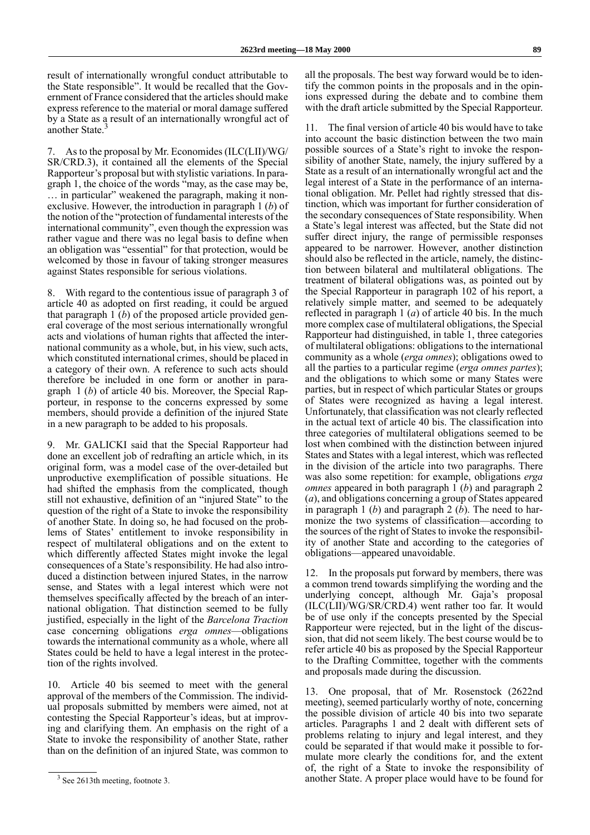result of internationally wrongful conduct attributable to the State responsible". It would be recalled that the Government of France considered that the articles should make express reference to the material or moral damage suffered by a State as a result of an internationally wrongful act of another State.<sup>3</sup>

7. As to the proposal by Mr. Economides (ILC(LII)/WG/ SR/CRD.3), it contained all the elements of the Special Rapporteur's proposal but with stylistic variations. In paragraph 1, the choice of the words "may, as the case may be, … in particular" weakened the paragraph, making it nonexclusive. However, the introduction in paragraph 1 (*b*) of the notion of the "protection of fundamental interests of the international community", even though the expression was rather vague and there was no legal basis to define when an obligation was "essential" for that protection, would be welcomed by those in favour of taking stronger measures against States responsible for serious violations.

8. With regard to the contentious issue of paragraph 3 of article 40 as adopted on first reading, it could be argued that paragraph 1 (*b*) of the proposed article provided general coverage of the most serious internationally wrongful acts and violations of human rights that affected the international community as a whole, but, in his view, such acts, which constituted international crimes, should be placed in a category of their own. A reference to such acts should therefore be included in one form or another in paragraph 1 (*b*) of article 40 bis. Moreover, the Special Rapporteur, in response to the concerns expressed by some members, should provide a definition of the injured State in a new paragraph to be added to his proposals.

9. Mr. GALICKI said that the Special Rapporteur had done an excellent job of redrafting an article which, in its original form, was a model case of the over-detailed but unproductive exemplification of possible situations. He had shifted the emphasis from the complicated, though still not exhaustive, definition of an "injured State" to the question of the right of a State to invoke the responsibility of another State. In doing so, he had focused on the problems of States' entitlement to invoke responsibility in respect of multilateral obligations and on the extent to which differently affected States might invoke the legal consequences of a State's responsibility. He had also introduced a distinction between injured States, in the narrow sense, and States with a legal interest which were not themselves specifically affected by the breach of an international obligation. That distinction seemed to be fully justified, especially in the light of the *Barcelona Traction* case concerning obligations *erga omnes*—obligations towards the international community as a whole, where all States could be held to have a legal interest in the protection of the rights involved.

10. Article 40 bis seemed to meet with the general approval of the members of the Commission. The individual proposals submitted by members were aimed, not at contesting the Special Rapporteur's ideas, but at improving and clarifying them. An emphasis on the right of a State to invoke the responsibility of another State, rather than on the definition of an injured State, was common to

all the proposals. The best way forward would be to identify the common points in the proposals and in the opinions expressed during the debate and to combine them with the draft article submitted by the Special Rapporteur.

11. The final version of article 40 bis would have to take into account the basic distinction between the two main possible sources of a State's right to invoke the responsibility of another State, namely, the injury suffered by a State as a result of an internationally wrongful act and the legal interest of a State in the performance of an international obligation. Mr. Pellet had rightly stressed that distinction, which was important for further consideration of the secondary consequences of State responsibility. When a State's legal interest was affected, but the State did not suffer direct injury, the range of permissible responses appeared to be narrower. However, another distinction should also be reflected in the article, namely, the distinction between bilateral and multilateral obligations. The treatment of bilateral obligations was, as pointed out by the Special Rapporteur in paragraph 102 of his report, a relatively simple matter, and seemed to be adequately reflected in paragraph 1 (*a*) of article 40 bis. In the much more complex case of multilateral obligations, the Special Rapporteur had distinguished, in table 1, three categories of multilateral obligations: obligations to the international community as a whole (*erga omnes*); obligations owed to all the parties to a particular regime (*erga omnes partes*); and the obligations to which some or many States were parties, but in respect of which particular States or groups of States were recognized as having a legal interest. Unfortunately, that classification was not clearly reflected in the actual text of article 40 bis. The classification into three categories of multilateral obligations seemed to be lost when combined with the distinction between injured States and States with a legal interest, which was reflected in the division of the article into two paragraphs. There was also some repetition: for example, obligations *erga omnes* appeared in both paragraph 1 (*b*) and paragraph 2 (*a*), and obligations concerning a group of States appeared in paragraph 1 (*b*) and paragraph 2 (*b*). The need to harmonize the two systems of classification—according to the sources of the right of States to invoke the responsibility of another State and according to the categories of obligations—appeared unavoidable.

12. In the proposals put forward by members, there was a common trend towards simplifying the wording and the underlying concept, although Mr. Gaja's proposal (ILC(LII)/WG/SR/CRD.4) went rather too far. It would be of use only if the concepts presented by the Special Rapporteur were rejected, but in the light of the discussion, that did not seem likely. The best course would be to refer article 40 bis as proposed by the Special Rapporteur to the Drafting Committee, together with the comments and proposals made during the discussion.

13. One proposal, that of Mr. Rosenstock (2622nd meeting), seemed particularly worthy of note, concerning the possible division of article 40 bis into two separate articles. Paragraphs 1 and 2 dealt with different sets of problems relating to injury and legal interest, and they could be separated if that would make it possible to formulate more clearly the conditions for, and the extent of, the right of a State to invoke the responsibility of <sup>3</sup> See 2613th meeting, footnote 3. **3** See 2613th meeting, footnote 3.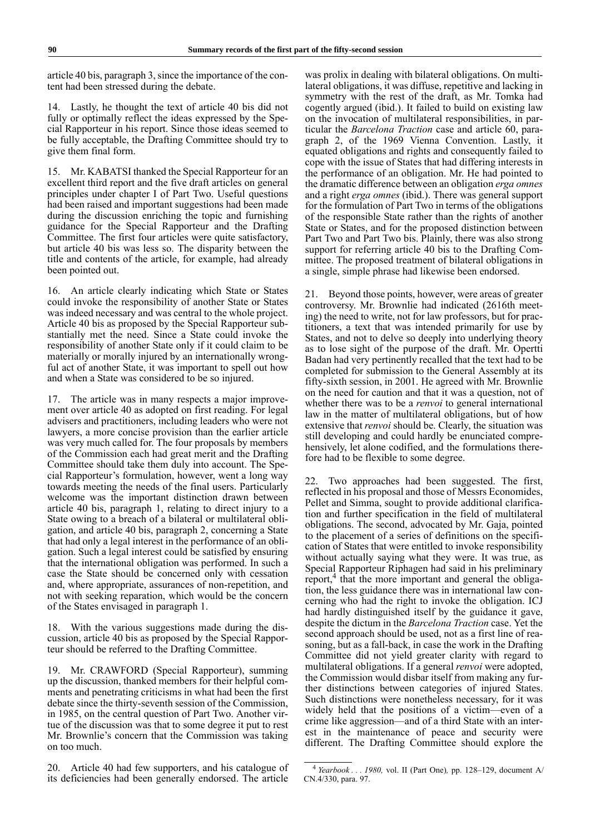article 40 bis, paragraph 3, since the importance of the content had been stressed during the debate.

14. Lastly, he thought the text of article 40 bis did not fully or optimally reflect the ideas expressed by the Special Rapporteur in his report. Since those ideas seemed to be fully acceptable, the Drafting Committee should try to give them final form.

15. Mr. KABATSI thanked the Special Rapporteur for an excellent third report and the five draft articles on general principles under chapter I of Part Two. Useful questions had been raised and important suggestions had been made during the discussion enriching the topic and furnishing guidance for the Special Rapporteur and the Drafting Committee. The first four articles were quite satisfactory, but article 40 bis was less so. The disparity between the title and contents of the article, for example, had already been pointed out.

16. An article clearly indicating which State or States could invoke the responsibility of another State or States was indeed necessary and was central to the whole project. Article 40 bis as proposed by the Special Rapporteur substantially met the need. Since a State could invoke the responsibility of another State only if it could claim to be materially or morally injured by an internationally wrongful act of another State, it was important to spell out how and when a State was considered to be so injured.

17. The article was in many respects a major improvement over article 40 as adopted on first reading. For legal advisers and practitioners, including leaders who were not lawyers, a more concise provision than the earlier article was very much called for. The four proposals by members of the Commission each had great merit and the Drafting Committee should take them duly into account. The Special Rapporteur's formulation, however, went a long way towards meeting the needs of the final users. Particularly welcome was the important distinction drawn between article 40 bis, paragraph 1, relating to direct injury to a State owing to a breach of a bilateral or multilateral obligation, and article 40 bis, paragraph 2, concerning a State that had only a legal interest in the performance of an obligation. Such a legal interest could be satisfied by ensuring that the international obligation was performed. In such a case the State should be concerned only with cessation and, where appropriate, assurances of non-repetition, and not with seeking reparation, which would be the concern of the States envisaged in paragraph 1.

18. With the various suggestions made during the discussion, article 40 bis as proposed by the Special Rapporteur should be referred to the Drafting Committee.

19. Mr. CRAWFORD (Special Rapporteur), summing up the discussion, thanked members for their helpful comments and penetrating criticisms in what had been the first debate since the thirty-seventh session of the Commission, in 1985, on the central question of Part Two. Another virtue of the discussion was that to some degree it put to rest Mr. Brownlie's concern that the Commission was taking on too much.

20. Article 40 had few supporters, and his catalogue of its deficiencies had been generally endorsed. The article

was prolix in dealing with bilateral obligations. On multilateral obligations, it was diffuse, repetitive and lacking in symmetry with the rest of the draft, as Mr. Tomka had cogently argued (ibid.). It failed to build on existing law on the invocation of multilateral responsibilities, in particular the *Barcelona Traction* case and article 60, paragraph 2, of the 1969 Vienna Convention. Lastly, it equated obligations and rights and consequently failed to cope with the issue of States that had differing interests in the performance of an obligation. Mr. He had pointed to the dramatic difference between an obligation *erga omnes* and a right *erga omnes* (ibid.). There was general support for the formulation of Part Two in terms of the obligations of the responsible State rather than the rights of another State or States, and for the proposed distinction between Part Two and Part Two bis. Plainly, there was also strong support for referring article 40 bis to the Drafting Committee. The proposed treatment of bilateral obligations in a single, simple phrase had likewise been endorsed.

21. Beyond those points, however, were areas of greater controversy. Mr. Brownlie had indicated (2616th meeting) the need to write, not for law professors, but for practitioners, a text that was intended primarily for use by States, and not to delve so deeply into underlying theory as to lose sight of the purpose of the draft. Mr. Opertti Badan had very pertinently recalled that the text had to be completed for submission to the General Assembly at its fifty-sixth session, in 2001. He agreed with Mr. Brownlie on the need for caution and that it was a question, not of whether there was to be a *renvoi* to general international law in the matter of multilateral obligations, but of how extensive that *renvoi* should be. Clearly, the situation was still developing and could hardly be enunciated comprehensively, let alone codified, and the formulations therefore had to be flexible to some degree.

22. Two approaches had been suggested. The first, reflected in his proposal and those of Messrs Economides, Pellet and Simma, sought to provide additional clarification and further specification in the field of multilateral obligations. The second, advocated by Mr. Gaja, pointed to the placement of a series of definitions on the specification of States that were entitled to invoke responsibility without actually saying what they were. It was true, as Special Rapporteur Riphagen had said in his preliminary report,<sup>4</sup> that the more important and general the obligation, the less guidance there was in international law concerning who had the right to invoke the obligation. ICJ had hardly distinguished itself by the guidance it gave, despite the dictum in the *Barcelona Traction* case. Yet the second approach should be used, not as a first line of reasoning, but as a fall-back, in case the work in the Drafting Committee did not yield greater clarity with regard to multilateral obligations. If a general *renvoi* were adopted, the Commission would disbar itself from making any further distinctions between categories of injured States. Such distinctions were nonetheless necessary, for it was widely held that the positions of a victim—even of a crime like aggression—and of a third State with an interest in the maintenance of peace and security were different. The Drafting Committee should explore the

<sup>4</sup> *Yearbook . . . 1980,* vol. II (Part One)*,* pp. 128–129, document A/ CN.4/330, para. 97.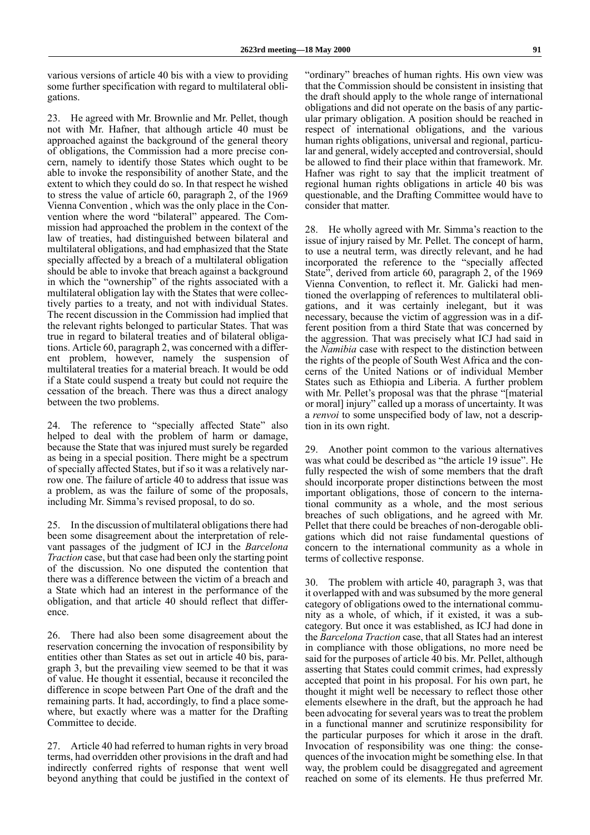various versions of article 40 bis with a view to providing some further specification with regard to multilateral obligations.

23. He agreed with Mr. Brownlie and Mr. Pellet, though not with Mr. Hafner, that although article 40 must be approached against the background of the general theory of obligations, the Commission had a more precise concern, namely to identify those States which ought to be able to invoke the responsibility of another State, and the extent to which they could do so. In that respect he wished to stress the value of article 60, paragraph 2, of the 1969 Vienna Convention , which was the only place in the Convention where the word "bilateral" appeared. The Commission had approached the problem in the context of the law of treaties, had distinguished between bilateral and multilateral obligations, and had emphasized that the State specially affected by a breach of a multilateral obligation should be able to invoke that breach against a background in which the "ownership" of the rights associated with a multilateral obligation lay with the States that were collectively parties to a treaty, and not with individual States. The recent discussion in the Commission had implied that the relevant rights belonged to particular States. That was true in regard to bilateral treaties and of bilateral obligations. Article 60, paragraph 2, was concerned with a different problem, however, namely the suspension of multilateral treaties for a material breach. It would be odd if a State could suspend a treaty but could not require the cessation of the breach. There was thus a direct analogy between the two problems.

24. The reference to "specially affected State" also helped to deal with the problem of harm or damage, because the State that was injured must surely be regarded as being in a special position. There might be a spectrum of specially affected States, but if so it was a relatively narrow one. The failure of article 40 to address that issue was a problem, as was the failure of some of the proposals, including Mr. Simma's revised proposal, to do so.

25. In the discussion of multilateral obligations there had been some disagreement about the interpretation of relevant passages of the judgment of ICJ in the *Barcelona Traction* case, but that case had been only the starting point of the discussion. No one disputed the contention that there was a difference between the victim of a breach and a State which had an interest in the performance of the obligation, and that article 40 should reflect that difference.

26. There had also been some disagreement about the reservation concerning the invocation of responsibility by entities other than States as set out in article 40 bis, paragraph 3, but the prevailing view seemed to be that it was of value. He thought it essential, because it reconciled the difference in scope between Part One of the draft and the remaining parts. It had, accordingly, to find a place somewhere, but exactly where was a matter for the Drafting Committee to decide.

27. Article 40 had referred to human rights in very broad terms, had overridden other provisions in the draft and had indirectly conferred rights of response that went well beyond anything that could be justified in the context of "ordinary" breaches of human rights. His own view was that the Commission should be consistent in insisting that the draft should apply to the whole range of international obligations and did not operate on the basis of any particular primary obligation. A position should be reached in respect of international obligations, and the various human rights obligations, universal and regional, particular and general, widely accepted and controversial, should be allowed to find their place within that framework. Mr. Hafner was right to say that the implicit treatment of regional human rights obligations in article 40 bis was questionable, and the Drafting Committee would have to consider that matter.

28. He wholly agreed with Mr. Simma's reaction to the issue of injury raised by Mr. Pellet. The concept of harm, to use a neutral term, was directly relevant, and he had incorporated the reference to the "specially affected State", derived from article 60, paragraph 2, of the 1969 Vienna Convention, to reflect it. Mr. Galicki had mentioned the overlapping of references to multilateral obligations, and it was certainly inelegant, but it was necessary, because the victim of aggression was in a different position from a third State that was concerned by the aggression. That was precisely what ICJ had said in the *Namibia* case with respect to the distinction between the rights of the people of South West Africa and the concerns of the United Nations or of individual Member States such as Ethiopia and Liberia. A further problem with Mr. Pellet's proposal was that the phrase "[material or moral] injury" called up a morass of uncertainty. It was a *renvoi* to some unspecified body of law, not a description in its own right.

29. Another point common to the various alternatives was what could be described as "the article 19 issue". He fully respected the wish of some members that the draft should incorporate proper distinctions between the most important obligations, those of concern to the international community as a whole, and the most serious breaches of such obligations, and he agreed with Mr. Pellet that there could be breaches of non-derogable obligations which did not raise fundamental questions of concern to the international community as a whole in terms of collective response.

30. The problem with article 40, paragraph 3, was that it overlapped with and was subsumed by the more general category of obligations owed to the international community as a whole, of which, if it existed, it was a subcategory. But once it was established, as ICJ had done in the *Barcelona Traction* case, that all States had an interest in compliance with those obligations, no more need be said for the purposes of article 40 bis. Mr. Pellet, although asserting that States could commit crimes, had expressly accepted that point in his proposal. For his own part, he thought it might well be necessary to reflect those other elements elsewhere in the draft, but the approach he had been advocating for several years was to treat the problem in a functional manner and scrutinize responsibility for the particular purposes for which it arose in the draft. Invocation of responsibility was one thing: the consequences of the invocation might be something else. In that way, the problem could be disaggregated and agreement reached on some of its elements. He thus preferred Mr.